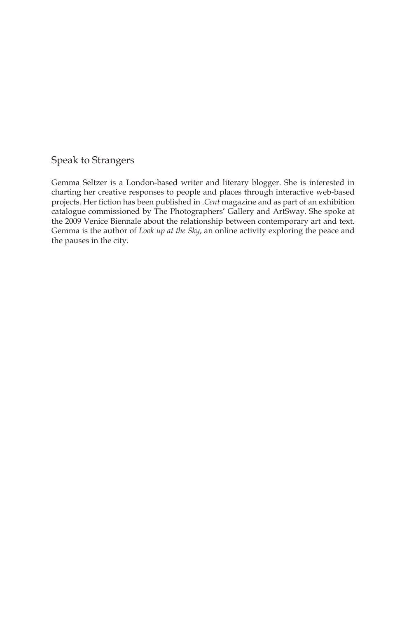#### Speak to Strangers

Gemma Seltzer is a London-based writer and literary blogger. She is interested in charting her creative responses to people and places through interactive web-based projects. Her fiction has been published in .*Cent* magazine and as part of an exhibition catalogue commissioned by The Photographers' Gallery and ArtSway. She spoke at the 2009 Venice Biennale about the relationship between contemporary art and text. Gemma is the author of *Look up at the Sky*, an online activity exploring the peace and the pauses in the city.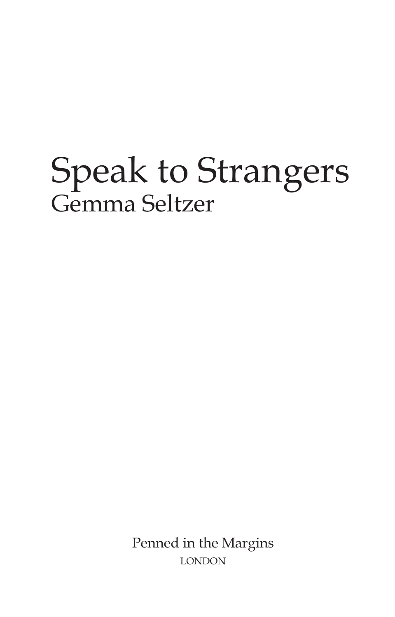# Speak to Strangers Gemma Seltzer

Penned in the Margins **LONDON**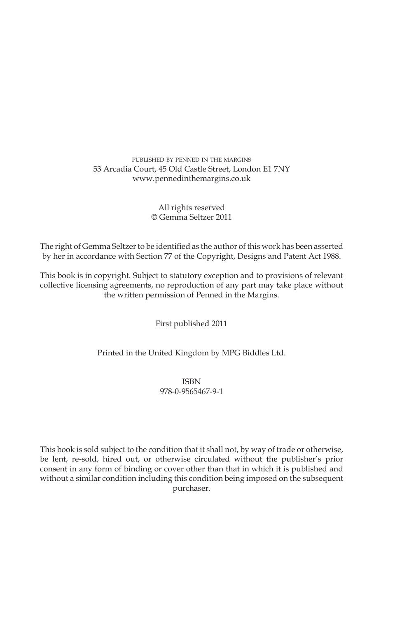#### published by penned in the margins 53 Arcadia Court, 45 Old Castle Street, London E1 7NY www.pennedinthemargins.co.uk

#### All rights reserved © Gemma Seltzer 2011

The right of Gemma Seltzer to be identified as the author of this work has been asserted by her in accordance with Section 77 of the Copyright, Designs and Patent Act 1988.

This book is in copyright. Subject to statutory exception and to provisions of relevant collective licensing agreements, no reproduction of any part may take place without the written permission of Penned in the Margins.

First published 2011

#### Printed in the United Kingdom by MPG Biddles Ltd.

ISBN 978-0-9565467-9-1

This book is sold subject to the condition that it shall not, by way of trade or otherwise, be lent, re-sold, hired out, or otherwise circulated without the publisher's prior consent in any form of binding or cover other than that in which it is published and without a similar condition including this condition being imposed on the subsequent purchaser.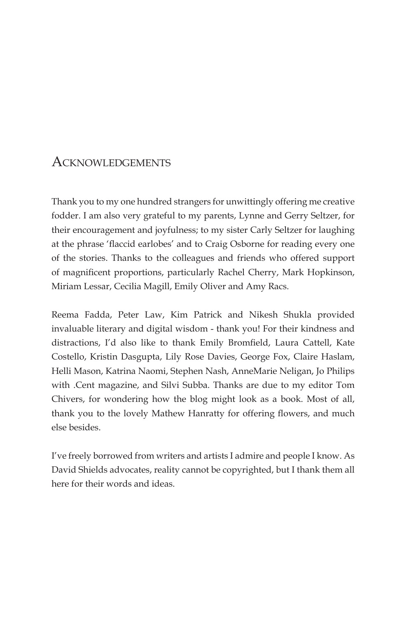## ACKNOWLEDGEMENTS

Thank you to my one hundred strangers for unwittingly offering me creative fodder. I am also very grateful to my parents, Lynne and Gerry Seltzer, for their encouragement and joyfulness; to my sister Carly Seltzer for laughing at the phrase 'flaccid earlobes' and to Craig Osborne for reading every one of the stories. Thanks to the colleagues and friends who offered support of magnificent proportions, particularly Rachel Cherry, Mark Hopkinson, Miriam Lessar, Cecilia Magill, Emily Oliver and Amy Racs.

Reema Fadda, Peter Law, Kim Patrick and Nikesh Shukla provided invaluable literary and digital wisdom - thank you! For their kindness and distractions, I'd also like to thank Emily Bromfield, Laura Cattell, Kate Costello, Kristin Dasgupta, Lily Rose Davies, George Fox, Claire Haslam, Helli Mason, Katrina Naomi, Stephen Nash, AnneMarie Neligan, Jo Philips with .Cent magazine, and Silvi Subba. Thanks are due to my editor Tom Chivers, for wondering how the blog might look as a book. Most of all, thank you to the lovely Mathew Hanratty for offering flowers, and much else besides.

I've freely borrowed from writers and artists I admire and people I know. As David Shields advocates, reality cannot be copyrighted, but I thank them all here for their words and ideas.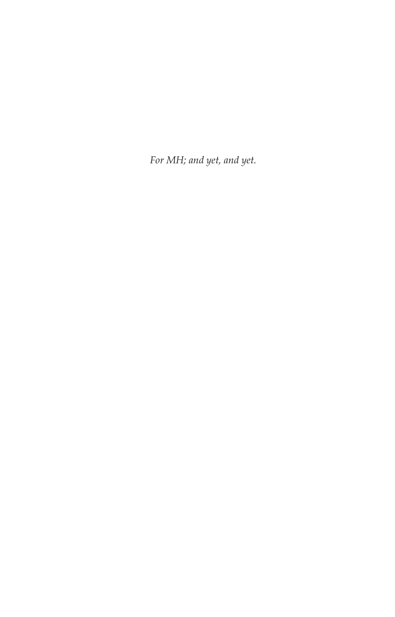For MH; and yet, and yet.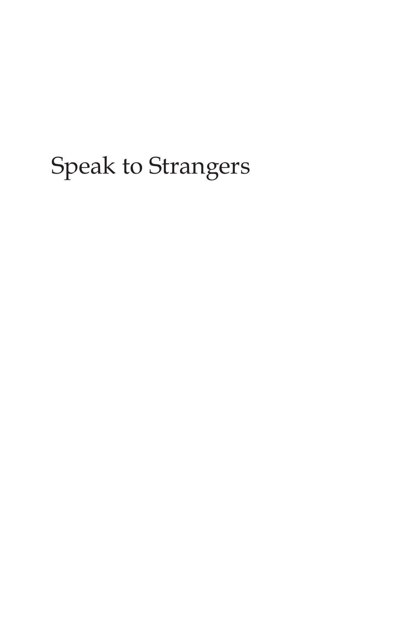## Speak to Strangers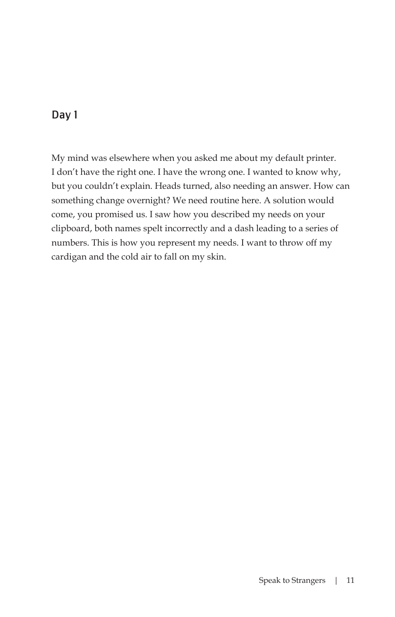My mind was elsewhere when you asked me about my default printer. I don't have the right one. I have the wrong one. I wanted to know why, but you couldn't explain. Heads turned, also needing an answer. How can something change overnight? We need routine here. A solution would come, you promised us. I saw how you described my needs on your clipboard, both names spelt incorrectly and a dash leading to a series of numbers. This is how you represent my needs. I want to throw off my cardigan and the cold air to fall on my skin.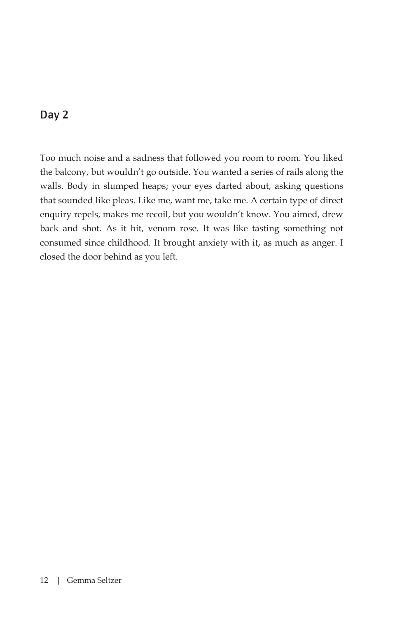Too much noise and a sadness that followed you room to room. You liked the balcony, but wouldn't go outside. You wanted a series of rails along the walls. Body in slumped heaps; your eyes darted about, asking questions that sounded like pleas. Like me, want me, take me. A certain type of direct enquiry repels, makes me recoil, but you wouldn't know. You aimed, drew back and shot. As it hit, venom rose. It was like tasting something not consumed since childhood. It brought anxiety with it, as much as anger. I closed the door behind as you left.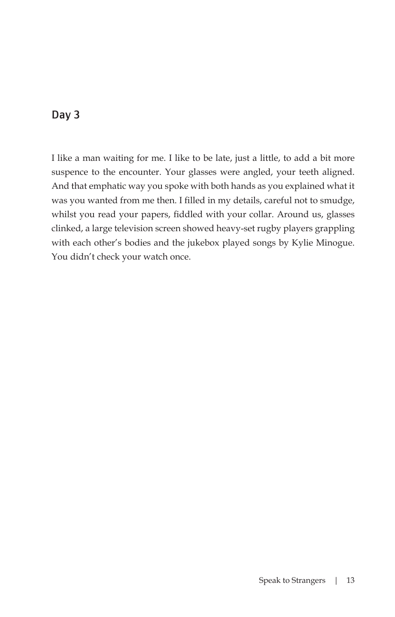I like a man waiting for me. I like to be late, just a little, to add a bit more suspence to the encounter. Your glasses were angled, your teeth aligned. And that emphatic way you spoke with both hands as you explained what it was you wanted from me then. I filled in my details, careful not to smudge, whilst you read your papers, fiddled with your collar. Around us, glasses clinked, a large television screen showed heavy-set rugby players grappling with each other's bodies and the jukebox played songs by Kylie Minogue. You didn't check your watch once.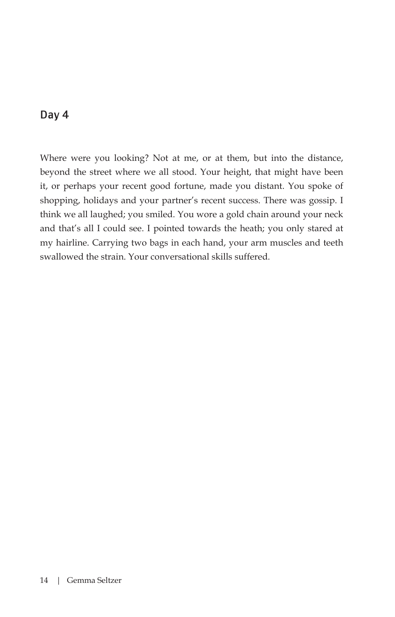Where were you looking? Not at me, or at them, but into the distance, beyond the street where we all stood. Your height, that might have been it, or perhaps your recent good fortune, made you distant. You spoke of shopping, holidays and your partner's recent success. There was gossip. I think we all laughed; you smiled. You wore a gold chain around your neck and that's all I could see. I pointed towards the heath; you only stared at my hairline. Carrying two bags in each hand, your arm muscles and teeth swallowed the strain. Your conversational skills suffered.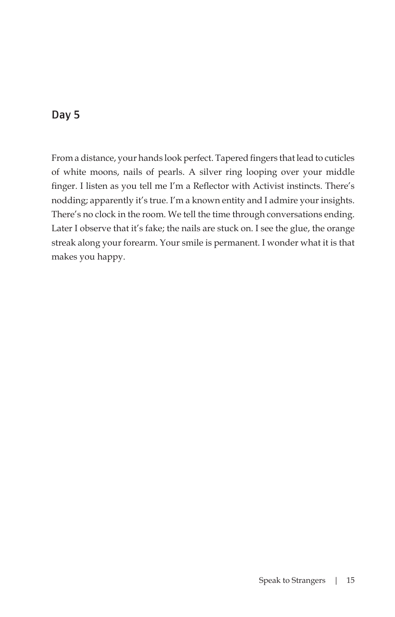From a distance, your hands look perfect. Tapered fingers that lead to cuticles of white moons, nails of pearls. A silver ring looping over your middle finger. I listen as you tell me I'm a Reflector with Activist instincts. There's nodding; apparently it's true. I'm a known entity and I admire your insights. There's no clock in the room. We tell the time through conversations ending. Later I observe that it's fake; the nails are stuck on. I see the glue, the orange streak along your forearm. Your smile is permanent. I wonder what it is that makes you happy.